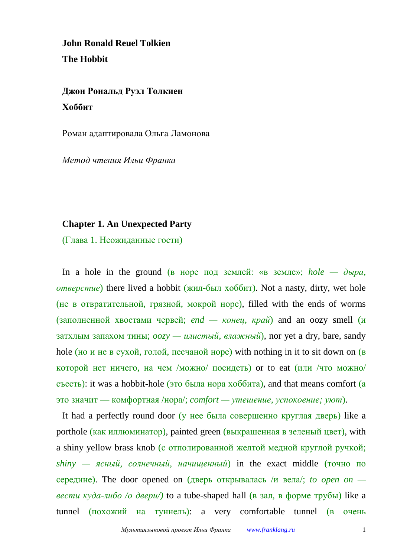# **John Ronald Reuel Tolkien The Hobbit**

**Джон Рональд Руэл Толкиен Хоббит**

Роман адаптировала Ольга Ламонова

*Метод чтения Ильи Франка*

#### **Chapter 1. An Unexpected Party**

(Глава 1. Неожиданные гости)

In a hole in the ground (в норе под землей: «в земле»; *hole — дыра, отверстие*) there lived a hobbit (жил-был хоббит). Not a nasty, dirty, wet hole (не в отвратительной, грязной, мокрой норе), filled with the ends of worms (заполненной хвостами червей; *end — конец, край*) and an oozy smell (и затхлым запахом тины; *oozy — илистый, влажный*), nor yet a dry, bare, sandy hole (но и не в сухой, голой, песчаной норе) with nothing in it to sit down on (в которой нет ничего, на чем /можно/ посидеть) or to eat (или /что можно/ съесть): it was a hobbit-hole (это была нора хоббита), and that means comfort (а это значит — комфортная /нора/; *comfort — утешение, успокоение; уют*).

It had a perfectly round door (у нее была совершенно круглая дверь) like a porthole (как иллюминатор), painted green (выкрашенная в зеленый цвет), with a shiny yellow brass knob (с отполированной желтой медной круглой ручкой; *shiny — ясный, солнечный, начищенный*) in the exact middle (точно по середине). The door opened on (дверь открывалась /и вела/; *to open on вести куда-либо /о двери/)* to a tube-shaped hall (в зал, в форме трубы) like a tunnel (похожий на туннель): a very comfortable tunnel (в очень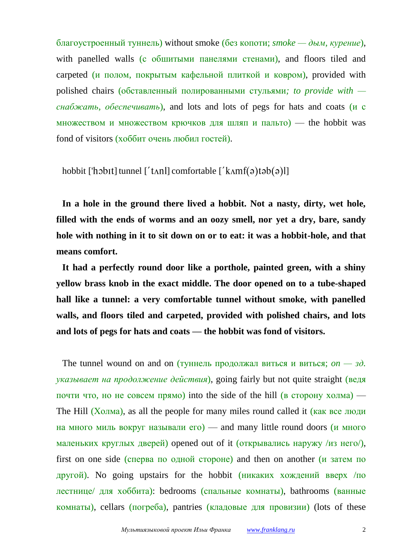благоустроенный туннель) without smoke (без копоти; *smoke — дым, курение*), with panelled walls (с обшитыми панелями стенами), and floors tiled and carpeted (и полом, покрытым кафельной плиткой и ковром), provided with polished chairs (обставленный полированными стульями*; to provide with снабжать, обеспечивать*), and lots and lots of pegs for hats and coats (и с множеством и множеством крючков для шляп и пальто) — the hobbit was fond of visitors (хоббит очень любил гостей).

hobbit  $\lceil \text{'hob} \rceil$  tunnel  $\lceil \text{'tanh} \rceil$  comfortable  $\lceil \text{'kamf}(a) \rceil$ 

**In a hole in the ground there lived a hobbit. Not a nasty, dirty, wet hole, filled with the ends of worms and an oozy smell, nor yet a dry, bare, sandy hole with nothing in it to sit down on or to eat: it was a hobbit-hole, and that means comfort.**

**It had a perfectly round door like a porthole, painted green, with a shiny yellow brass knob in the exact middle. The door opened on to a tube-shaped hall like a tunnel: a very comfortable tunnel without smoke, with panelled walls, and floors tiled and carpeted, provided with polished chairs, and lots and lots of pegs for hats and coats — the hobbit was fond of visitors.** 

The tunnel wound on and on (туннель продолжал виться и виться; *on — зд. указывает на продолжение действия*), going fairly but not quite straight (ведя почти что, но не совсем прямо) into the side of the hill (в сторону холма) — The Hill (Холма), as all the people for many miles round called it (как все люди на много миль вокруг называли  $ero$ ) — and many little round doors (и много маленьких круглых дверей) opened out of it (открывались наружу /из него/), first on one side (сперва по одной стороне) and then on another (и затем по другой). No going upstairs for the hobbit (никаких хождений вверх /по лестнице/ для хоббита): bedrooms (спальные комнаты), bathrooms (ванные комнаты), cellars (погреба), pantries (кладовые для провизии) (lots of these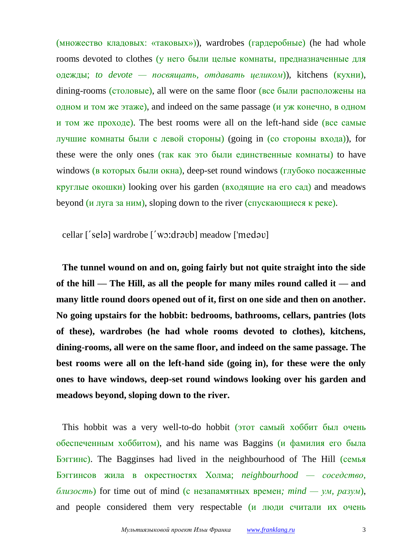(множество кладовых: «таковых»)), wardrobes (гардеробные) (he had whole rooms devoted to clothes (у него были целые комнаты, предназначенные для одежды; *to devote — посвящать, отдавать целиком*)), kitchens (кухни), dining-rooms (столовые), all were on the same floor (все были расположены на одном и том же этаже), and indeed on the same passage (и уж конечно, в одном и том же проходе). The best rooms were all on the left-hand side (все самые лучшие комнаты были с левой стороны) (going in (со стороны входа)), for these were the only ones (так как это были единственные комнаты) to have windows (в которых были окна), deep-set round windows (глубоко посаженные круглые окошки) looking over his garden (входящие на его сад) and meadows beyond (и луга за ним), sloping down to the river (спускающиеся к реке).

cellar ['selə] wardrobe ['wɔ:drəvb] meadow ['medəv]

**The tunnel wound on and on, going fairly but not quite straight into the side of the hill — The Hill, as all the people for many miles round called it — and many little round doors opened out of it, first on one side and then on another. No going upstairs for the hobbit: bedrooms, bathrooms, cellars, pantries (lots of these), wardrobes (he had whole rooms devoted to clothes), kitchens, dining-rooms, all were on the same floor, and indeed on the same passage. The best rooms were all on the left-hand side (going in), for these were the only ones to have windows, deep-set round windows looking over his garden and meadows beyond, sloping down to the river.**

This hobbit was a very well-to-do hobbit (этот самый хоббит был очень обеспеченным хоббитом), and his name was Baggins (и фамилия его была Бэггинс). The Bagginses had lived in the neighbourhood of The Hill (семья Бэггинсов жила в окрестностях Холма; *neighbourhood — соседство, близость*) for time out of mind (с незапамятных времен*; mind — ум, разум*), and people considered them very respectable (и люди считали их очень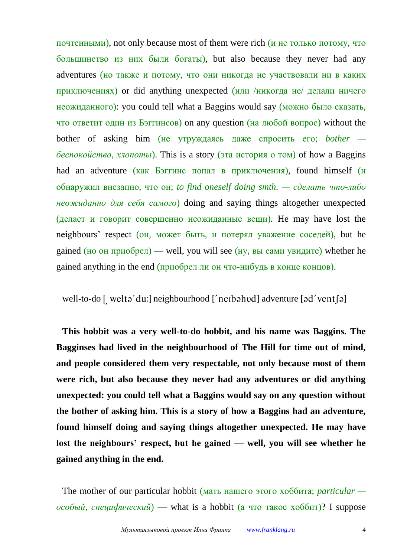почтенными), not only because most of them were rich (и не только потому, что большинство из них были богаты), but also because they never had any adventures (но также и потому, что они никогда не участвовали ни в каких приключениях) or did anything unexpected (или /никогда не/ делали ничего неожиданного): you could tell what a Baggins would say (можно было сказать, что ответит один из Бэггинсов) on any question (на любой вопрос) without the bother of asking him (не утруждаясь даже спросить его; *bother беспокойство, хлопоты*). This is a story (эта история о том) of how a Baggins had an adventure (как Бэггинс попал в приключения), found himself (и обнаружил внезапно, что он; *to find oneself doing smth. — сделать что-либо неожиданно для себя самого*) doing and saying things altogether unexpected (делает и говорит совершенно неожиданные вещи). He may have lost the neighbours' respect (он, может быть, и потерял уважение соседей), but he gained (но он приобрел) — well, you will see (ну, вы сами увидите) whether he gained anything in the end (приобрел ли он что-нибудь в конце концов).

## well-to-do  $[$  welta'du: neighbourhood  $[$ ' neibahvd adventure  $[$ ad' vent $[$ a $]$

**This hobbit was a very well-to-do hobbit, and his name was Baggins. The Bagginses had lived in the neighbourhood of The Hill for time out of mind, and people considered them very respectable, not only because most of them were rich, but also because they never had any adventures or did anything unexpected: you could tell what a Baggins would say on any question without the bother of asking him. This is a story of how a Baggins had an adventure, found himself doing and saying things altogether unexpected. He may have lost the neighbours' respect, but he gained — well, you will see whether he gained anything in the end.**

The mother of our particular hobbit (мать нашего этого хоббита; *particular особый, специфический*) — what is a hobbit (а что такое хоббит)? I suppose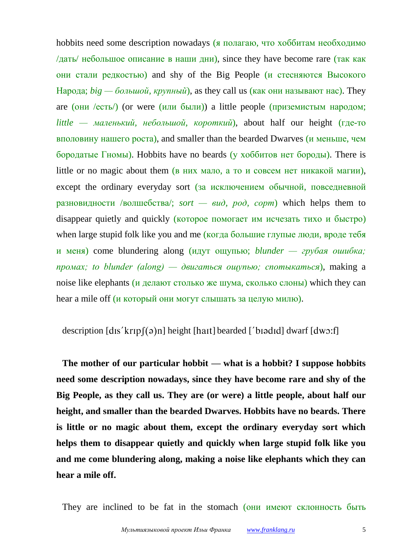hobbits need some description nowadays (я полагаю, что хоббитам необходимо /дать/ небольшое описание в наши дни), since they have become rare (так как они стали редкостью) and shy of the Big People (и стесняются Высокого Народа; *big — большой, крупный*), as they call us (как они называют нас). They are  $(OHM /ECTb)$  (or were  $(MJM \tilde{b}LJM)$ ) a little people (приземистым народом; *little — маленький, небольшой, короткий*), about half our height (где-то вполовину нашего роста), and smaller than the bearded Dwarves (и меньше, чем бородатые Гномы). Hobbits have no beards (у хоббитов нет бороды). There is little or no magic about them (в них мало, а то и совсем нет никакой магии), except the ordinary everyday sort (за исключением обычной, повседневной разновидности /волшебства/; *sort — вид, род, сорт*) which helps them to disappear quietly and quickly (которое помогает им исчезать тихо и быстро) when large stupid folk like you and me (когда большие глупые люди, вроде тебя и меня) come blundering along (идут ощупью; *blunder — грубая ошибка; промах; to blunder (along) — двигаться ощупью; спотыкаться*), making a noise like elephants (и делают столько же шума, сколько слоны) which they can hear a mile off (и который они могут слышать за целую милю).

description  $[dis' krip](\theta)$ n] height  $[hat]$  bearded  $[}'$  biodid $]$  dwarf  $[dw \cdot f]$ 

**The mother of our particular hobbit — what is a hobbit? I suppose hobbits need some description nowadays, since they have become rare and shy of the Big People, as they call us. They are (or were) a little people, about half our height, and smaller than the bearded Dwarves. Hobbits have no beards. There is little or no magic about them, except the ordinary everyday sort which helps them to disappear quietly and quickly when large stupid folk like you and me come blundering along, making a noise like elephants which they can hear a mile off.** 

They are inclined to be fat in the stomach (они имеют склонность быть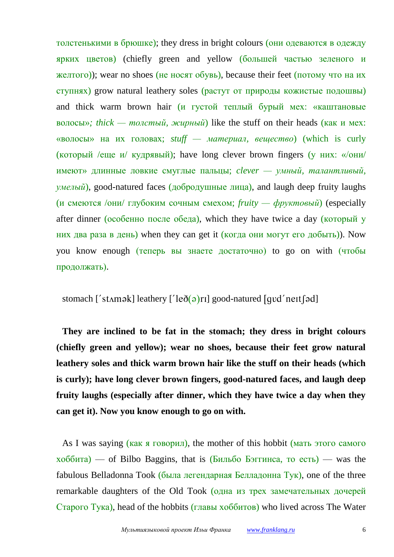толстенькими в брюшке); they dress in bright colours (они одеваются в одежду ярких цветов) (chiefly green and yellow (большей частью зеленого и желтого)); wear no shoes (не носят обувь), because their feet (потому что на их ступнях) grow natural leathery soles (растут от природы кожистые подошвы) and thick warm brown hair (и густой теплый бурый мех: «каштановые волосы»; *thick — толстый, жирный*) like the stuff on their heads (как и мех: «волосы» на их головах; *stuff — материал, вещество*) (which is curly (который /еще и/ кудрявый); have long clever brown fingers (у них: «/они/ имеют» длинные ловкие смуглые пальцы; *clever — умный, талантливый,*   $\gamma$ *мелый*), good-natured faces (добродушные лица), and laugh deep fruity laughs (и смеются /они/ глубоким сочным смехом; *fruity — фруктовый*) (especially after dinner (особенно после обеда), which they have twice a day (который у них два раза в день) when they can get it (когда они могут его добыть)). Now you know enough (теперь вы знаете достаточно) to go on with (чтобы продолжать).

## stomach ['stʌmək] leathery [' $\text{leð}(\sigma)$ rı] good-natured [gvd'neɪt] $\sigma$ ]

**They are inclined to be fat in the stomach; they dress in bright colours (chiefly green and yellow); wear no shoes, because their feet grow natural leathery soles and thick warm brown hair like the stuff on their heads (which is curly); have long clever brown fingers, good-natured faces, and laugh deep fruity laughs (especially after dinner, which they have twice a day when they can get it). Now you know enough to go on with.** 

As I was saying (как я говорил), the mother of this hobbit (мать этого самого хоббита) — of Bilbo Baggins, that is  $(Ku)$  Бэггинса, то есть) — was the fabulous Belladonna Took (была легендарная Белладонна Тук), one of the three remarkable daughters of the Old Took (одна из трех замечательных дочерей Старого Тука), head of the hobbits (главы хоббитов) who lived across The Water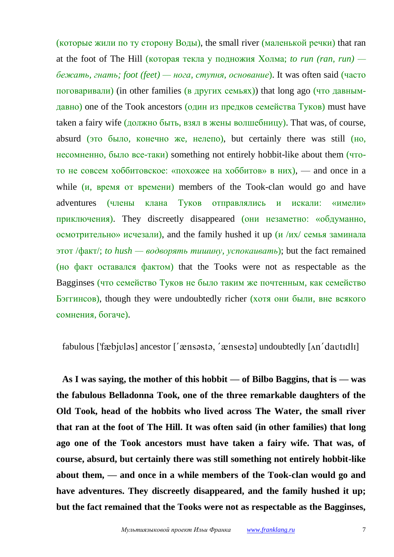(которые жили по ту сторону Воды), the small river (маленькой речки) that ran at the foot of The Hill (которая текла у подножия Холма; *to run (ran, run) бежать, гнать; foot (feet) — нога, ступня, основание*). It was often said (часто поговаривали) (in other families (в других семьях)) that long ago (что давнымдавно) one of the Took ancestors (один из предков семейства Туков) must have taken a fairy wife (должно быть, взял в жены волшебницу). That was, of course, absurd (это было, конечно же, нелепо), but certainly there was still (но, несомненно, было все-таки) something not entirely hobbit-like about them (чтото не совсем хоббитовское: «похожее на хоббитов» в них), — and once in a while  $(u, \text{ BPEM}$  or  $BPEM$  members of the Took-clan would go and have adventures (члены клана Туков отправлялись и искали: «имели» приключения). They discreetly disappeared (они незаметно: «обдуманно, осмотрительно» исчезали), and the family hushed it up (и /их/ семья заминала этот /факт/; *to hush — водворять тишину, успокаивать*); but the fact remained (но факт оставался фактом) that the Tooks were not as respectable as the Bagginses (что семейство Туков не было таким же почтенным, как семейство Бэггинсов), though they were undoubtedly richer (хотя они были, вне всякого сомнения, богаче).

fabulous [' $\{$ æbj $\nu$ ləs] ancestor [' $\alpha$ nsəstə, ' $\alpha$ nsestə] undoubtedly  $\lceil \Delta n \rceil$  davtıdlı]

**As I was saying, the mother of this hobbit — of Bilbo Baggins, that is — was the fabulous Belladonna Took, one of the three remarkable daughters of the Old Took, head of the hobbits who lived across The Water, the small river that ran at the foot of The Hill. It was often said (in other families) that long ago one of the Took ancestors must have taken a fairy wife. That was, of course, absurd, but certainly there was still something not entirely hobbit-like about them, — and once in a while members of the Took-clan would go and have adventures. They discreetly disappeared, and the family hushed it up; but the fact remained that the Tooks were not as respectable as the Bagginses,**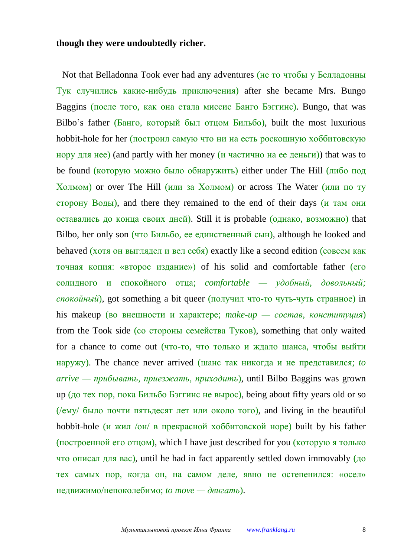#### **though they were undoubtedly richer.**

Not that Belladonna Took ever had any adventures (не то чтобы у Белладонны Тук случились какие-нибудь приключения) after she became Mrs. Bungo Baggins (после того, как она стала миссис Банго Бэггинс). Bungo, that was Bilbo's father (Банго, который был отцом Бильбо), built the most luxurious hobbit-hole for her (построил самую что ни на есть роскошную хоббитовскую нору для нее) (and partly with her money (и частично на ее деньги)) that was to be found (которую можно было обнаружить) either under The Hill (либо под Холмом) or over The Hill (или за Холмом) or across The Water (или по ту сторону Воды), and there they remained to the end of their days (и там они оставались до конца своих дней). Still it is probable (однако, возможно) that Bilbo, her only son (что Бильбо, ее единственный сын), although he looked and behaved (хотя он выглядел и вел себя) exactly like a second edition (совсем как точная копия: «второе издание») of his solid and comfortable father (его солидного и спокойного отца; *comfortable — удобный, довольный; спокойный*), got something a bit queer (получил что-то чуть-чуть странное) in his makeup (во внешности и характере; *make-up — состав, конституция*) from the Took side (со стороны семейства Туков), something that only waited for a chance to come out (что-то, что только и ждало шанса, чтобы выйти наружу). The chance never arrived (шанс так никогда и не представился; *to arrive — прибывать, приезжать, приходить*), until Bilbo Baggins was grown up (до тех пор, пока Бильбо Бэггинс не вырос), being about fifty years old or so (/ему/ было почти пятьдесят лет или около того), and living in the beautiful hobbit-hole (и жил /он/ в прекрасной хоббитовской норе) built by his father (построенной его отцом), which I have just described for you (которую я только что описал для вас), until he had in fact apparently settled down immovably (до тех самых пор, когда он, на самом деле, явно не остепенился: «осел» недвижимо/непоколебимо; *to move — двигать*).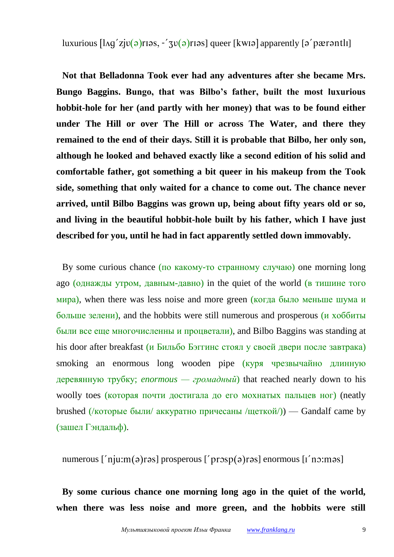luxurious  $\left[ \frac{\log z_i v(\mathfrak{a}) r}{\log z_i} \right]$  apparently  $\left[ \frac{\mathfrak{a}}{\log z_i} \right]$  apparently  $\left[ \frac{\mathfrak{a}}{\log z_i} \right]$ 

**Not that Belladonna Took ever had any adventures after she became Mrs. Bungo Baggins. Bungo, that was Bilbo's father, built the most luxurious hobbit-hole for her (and partly with her money) that was to be found either under The Hill or over The Hill or across The Water, and there they remained to the end of their days. Still it is probable that Bilbo, her only son, although he looked and behaved exactly like a second edition of his solid and comfortable father, got something a bit queer in his makeup from the Took side, something that only waited for a chance to come out. The chance never arrived, until Bilbo Baggins was grown up, being about fifty years old or so, and living in the beautiful hobbit-hole built by his father, which I have just described for you, until he had in fact apparently settled down immovably.**

By some curious chance (по какому-то странному случаю) one morning long ago (однажды утром, давным-давно) in the quiet of the world (в тишине того мира), when there was less noise and more green (когда было меньше шума и больше зелени), and the hobbits were still numerous and prosperous (и хоббиты были все еще многочисленны и процветали), and Bilbo Baggins was standing at his door after breakfast (и Бильбо Бэггинс стоял у своей двери после завтрака) smoking an enormous long wooden pipe (куря чрезвычайно длинную деревянную трубку; *enormous — громадный*) that reached nearly down to his woolly toes (которая почти достигала до его мохнатых пальцев ног) (neatly brushed (/которые были/ аккуратно причесаны /щеткой/)) — Gandalf came by (зашел Гэндальф).

numerous  $\lceil \text{'niu:} \text{m(a)} \text{rəs} \rceil$  prosperous  $\lceil \text{'prəs} \rceil$  enormous  $\lceil \text{r'nz:} \text{məs} \rceil$ 

**By some curious chance one morning long ago in the quiet of the world, when there was less noise and more green, and the hobbits were still**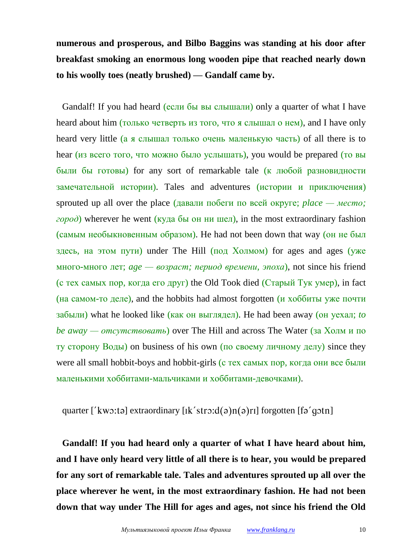**numerous and prosperous, and Bilbo Baggins was standing at his door after breakfast smoking an enormous long wooden pipe that reached nearly down to his woolly toes (neatly brushed) — Gandalf came by.**

Gandalf! If you had heard (если бы вы слышали) only a quarter of what I have heard about him (только четверть из того, что я слышал о нем), and I have only heard very little (а я слышал только очень маленькую часть) of all there is to hear (из всего того, что можно было услышать), you would be prepared (то вы были бы готовы) for any sort of remarkable tale (к любой разновидности замечательной истории). Tales and adventures (истории и приключения) sprouted up all over the place (давали побеги по всей округе; *place — место; <i>город*) wherever he went (куда бы он ни шел), in the most extraordinary fashion (самым необыкновенным образом). He had not been down that way (он не был здесь, на этом пути) under The Hill  $(\text{d}x)$  Холмом) for ages and ages (уже много-много лет; *age — возраст; период времени, эпоха*), not since his friend (с тех самых пор, когда его друг) the Old Took died (Старый Тук умер), in fact (на самом-то деле), and the hobbits had almost forgotten (и хоббиты уже почти забыли) what he looked like (как он выглядел). He had been away (он уехал; *to be away — отсутствовать*) over The Hill and across The Water (за Холм и по ту сторону Воды) on business of his own (по своему личному делу) since they were all small hobbit-boys and hobbit-girls (с тех самых пор, когда они все были маленькими хоббитами-мальчиками и хоббитами-девочками).

quarter  $\lceil$  kwo:ta extraordinary  $\lceil$  k stro:d(a)n(a)ri forgotten  $\lceil$  fo  $\lceil$  qotn $\rceil$ 

**Gandalf! If you had heard only a quarter of what I have heard about him, and I have only heard very little of all there is to hear, you would be prepared for any sort of remarkable tale. Tales and adventures sprouted up all over the place wherever he went, in the most extraordinary fashion. He had not been down that way under The Hill for ages and ages, not since his friend the Old**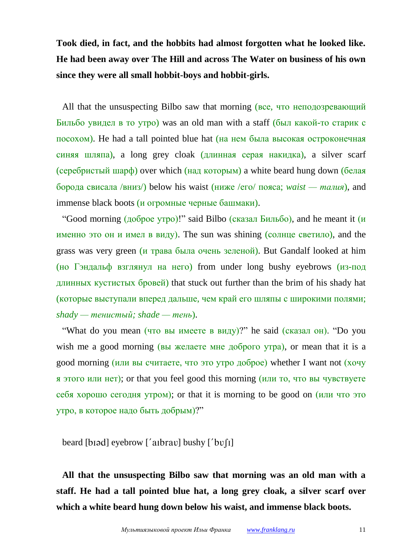**Took died, in fact, and the hobbits had almost forgotten what he looked like. He had been away over The Hill and across The Water on business of his own since they were all small hobbit-boys and hobbit-girls.**

All that the unsuspecting Bilbo saw that morning (все, что неподозревающий Бильбо увидел в то утро) was an old man with a staff (был какой-то старик с посохом). He had a tall pointed blue hat (на нем была высокая остроконечная синяя шляпа), a long grey cloak (длинная серая накидка), a silver scarf (серебристый шарф) over which (над которым) a white beard hung down (белая борода свисала /вниз/) below his waist (ниже /его/ пояса; *waist — талия*), and immense black boots (и огромные черные башмаки).

"Good morning (доброе утро)!" said Bilbo (сказал Бильбо), and he meant it (и именно это он и имел в виду). The sun was shining (солнце светило), and the grass was very green (и трава была очень зеленой). But Gandalf looked at him (но Гэндальф взглянул на него) from under long bushy eyebrows (из-под длинных кустистых бровей) that stuck out further than the brim of his shady hat (которые выступали вперед дальше, чем край его шляпы с широкими полями; *shady — тенистый; shade — тень*).

"What do you mean (что вы имеете в виду)?" he said (сказал он). "Do you wish me a good morning (вы желаете мне доброго утра), or mean that it is a good morning (или вы считаете, что это утро доброе) whether I want not (хочу я этого или нет); or that you feel good this morning (или то, что вы чувствуете себя хорошо сегодня утром); or that it is morning to be good on (или что это утро, в которое надо быть добрым)?"

beard [biəd] eyebrow  $\int$  aibrau] bushy  $\int$  bu $\int$ [I]

**All that the unsuspecting Bilbo saw that morning was an old man with a staff. He had a tall pointed blue hat, a long grey cloak, a silver scarf over which a white beard hung down below his waist, and immense black boots.**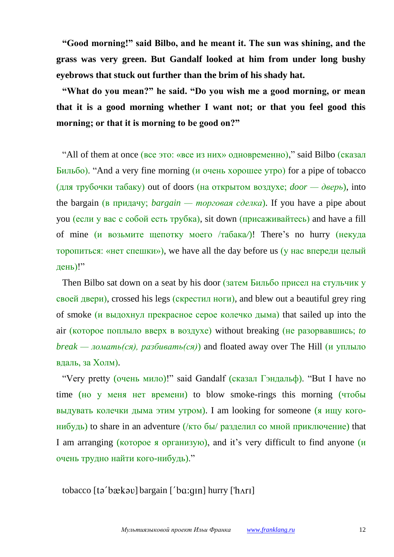**"Good morning!" said Bilbo, and he meant it. The sun was shining, and the grass was very green. But Gandalf looked at him from under long bushy eyebrows that stuck out further than the brim of his shady hat.** 

**"What do you mean?" he said. "Do you wish me a good morning, or mean that it is a good morning whether I want not; or that you feel good this morning; or that it is morning to be good on?"**

"All of them at once (все это: «все из них» одновременно)," said Bilbo (сказал Бильбо). "And a very fine morning (и очень хорошее утро) for a pipe of tobacco (для трубочки табаку) out of doors (на открытом воздухе; *door — дверь*), into the bargain (в придачу; *bargain — торговая сделка*). If you have a pipe about you (если у вас с собой есть трубка), sit down (присаживайтесь) and have a fill of mine (и возьмите щепотку моего /табака*/*)! There's no hurry (некуда торопиться: «нет спешки»), we have all the day before us (у нас впереди целый день)!"

Then Bilbo sat down on a seat by his door (затем Бильбо присел на стульчик у своей двери), crossed his legs (скрестил ноги), and blew out a beautiful grey ring of smoke (и выдохнул прекрасное серое колечко дыма) that sailed up into the air (которое поплыло вверх в воздухе) without breaking (не разорвавшись; *to*  $break - nomam<sub>b</sub>(ca)$ ,  $pasбueam<sub>b</sub>(ca)$ ) and floated away over The Hill (*и* уплыло вдаль, за Холм).

"Very pretty (очень мило)!" said Gandalf (сказал Гэндальф). "But I have no time (но у меня нет времени) to blow smoke-rings this morning (чтобы выдувать колечки дыма этим утром). I am looking for someone (я ищу когонибудь) to share in an adventure (/кто бы/ разделил со мной приключение) that I am arranging (которое я организую), and it's very difficult to find anyone (и очень трудно найти кого-нибудь)."

tobacco  $[t\sigma'$ bæk $\sigma$ u] bargain  $\sigma$  [' $\sigma$ a: qin] hurry [' $\sigma$ Ari]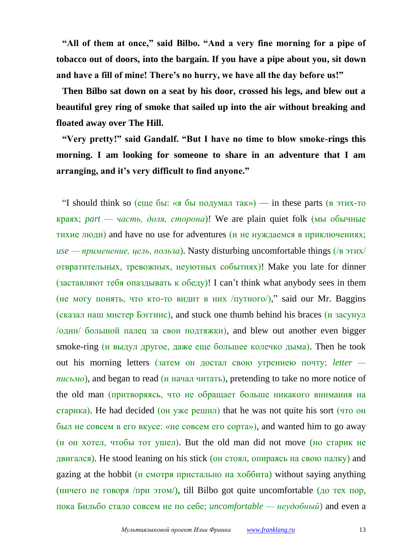**"All of them at once," said Bilbo. "And a very fine morning for a pipe of tobacco out of doors, into the bargain. If you have a pipe about you, sit down and have a fill of mine! There's no hurry, we have all the day before us!"** 

**Then Bilbo sat down on a seat by his door, crossed his legs, and blew out a beautiful grey ring of smoke that sailed up into the air without breaking and floated away over The Hill.**

**"Very pretty!" said Gandalf. "But I have no time to blow smoke-rings this morning. I am looking for someone to share in an adventure that I am arranging, and it's very difficult to find anyone."**

"I should think so (еще бы: «я бы подумал так») — in these parts (в этих-то краях; *part — часть, доля, сторона*)! We are plain quiet folk (мы обычные тихие люди) and have no use for adventures (и не нуждаемся в приключениях; *use — применение, цель, польза*). Nasty disturbing uncomfortable things (/в этих/ отвратительных, тревожных, неуютных событиях)! Make you late for dinner (заставляют тебя опаздывать к обеду)! I can't think what anybody sees in them (не могу понять, что кто-то видит в них /путного/)," said our Mr. Baggins (сказал наш мистер Бэггинс), and stuck one thumb behind his braces (и засунул  $\alpha$  /один $\beta$  большой палец за свои подтяжки), and blew out another even bigger smoke-ring (и выдул другое, даже еще большее колечко дыма). Then he took out his morning letters (затем он достал свою утреннею почту; *letter письмо*), and began to read (и начал читать), pretending to take no more notice of the old man (притворяясь, что не обращает больше никакого внимания на старика). He had decided (он уже решил) that he was not quite his sort (что он был не совсем в его вкусе: «не совсем его сорта»), and wanted him to go away (и он хотел, чтобы тот ушел). But the old man did not move (но старик не двигался). He stood leaning on his stick (он стоял, опираясь на свою палку) and gazing at the hobbit (и смотря пристально на хоббита) without saying anything (ничего не говоря /при этом/), till Bilbo got quite uncomfortable (до тех пор, пока Бильбо стало совсем не по себе; *uncomfortable — неудобный*) and even a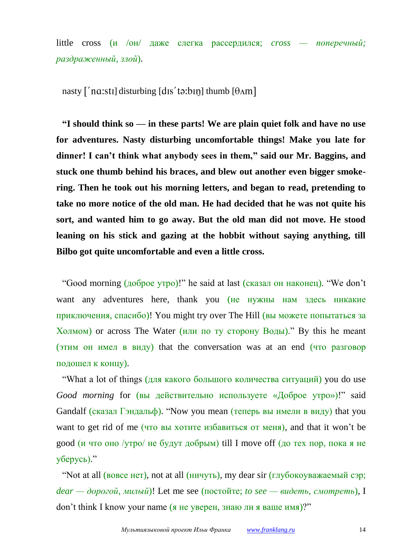little cross (и /он/ даже слегка рассердился; *cross — поперечный; раздраженный, злой*).

nasty ['nɑ:stɪ] disturbing  $[dis' \text{tə:} \text{bin}]$  thumb  $[\theta \land m]$ 

**"I should think so — in these parts! We are plain quiet folk and have no use for adventures. Nasty disturbing uncomfortable things! Make you late for dinner! I can't think what anybody sees in them," said our Mr. Baggins, and stuck one thumb behind his braces, and blew out another even bigger smokering. Then he took out his morning letters, and began to read, pretending to take no more notice of the old man. He had decided that he was not quite his sort, and wanted him to go away. But the old man did not move. He stood leaning on his stick and gazing at the hobbit without saying anything, till Bilbo got quite uncomfortable and even a little cross.**

"Good morning (доброе утро)!" he said at last (сказал он наконец). "We don't want any adventures here, thank you (не нужны нам здесь никакие приключения, спасибо)! You might try over The Hill (вы можете попытаться за Холмом) or across The Water (или по ту сторону Воды)." By this he meant (этим он имел в виду) that the conversation was at an end (что разговор подошел к концу).

"What a lot of things (для какого большого количества ситуаций) you do use *Good morning* for (вы действительно используете «Доброе утро»)!" said Gandalf (сказал Гэндальф). "Now you mean (теперь вы имели в виду) that you want to get rid of me (что вы хотите избавиться от меня), and that it won't be good (и что оно /утро/ не будут добрым) till I move off (до тех пор, пока я не уберусь)."

"Not at all (вовсе нет), not at all (ничуть), my dear sir (глубокоуважаемый сэр; *dear — дорогой, милый*)! Let me see (постойте; *to see — видеть, смотреть*), I don't think I know your name (я не уверен, знаю ли я ваше имя)?"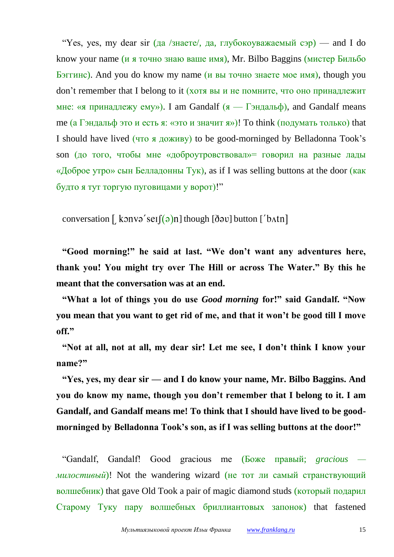"Yes, yes, my dear sir (да /знаете/, да, глубокоуважаемый сэр) — and I do know your name (и я точно знаю ваше имя), Mr. Bilbo Baggins (мистер Бильбо Бэггинс). And you do know my name (и вы точно знаете мое имя), though you don't remember that I belong to it (хотя вы и не помните, что оно принадлежит мне: «я принадлежу ему»). I am Gandalf  $(A - \Gamma)$ эндальф), and Gandalf means me (а Гэндальф это и есть я: «это и значит я»)! To think (подумать только) that I should have lived (что я доживу) to be good-morninged by Belladonna Took's son (до того, чтобы мне «доброутровствовал»= говорил на разные лады «Доброе утро» сын Белладонны Тук), as if I was selling buttons at the door (как будто я тут торгую пуговицами у ворот)!"

conversation [  $\text{konvə}'$  ser $\left[\frac{(\text{ })}{\text{ln}}\right]$  though  $\left[\frac{\delta \text{ln} \theta}{\text{ln}}\right]$  button  $\left[\frac{\delta \text{ln} \theta}{\text{ln} \theta}\right]$ 

**"Good morning!" he said at last. "We don't want any adventures here, thank you! You might try over The Hill or across The Water." By this he meant that the conversation was at an end.**

**"What a lot of things you do use** *Good morning* **for!" said Gandalf. "Now you mean that you want to get rid of me, and that it won't be good till I move off."**

**"Not at all, not at all, my dear sir! Let me see, I don't think I know your name?"**

**"Yes, yes, my dear sir — and I do know your name, Mr. Bilbo Baggins. And you do know my name, though you don't remember that I belong to it. I am Gandalf, and Gandalf means me! To think that I should have lived to be goodmorninged by Belladonna Took's son, as if I was selling buttons at the door!"** 

"Gandalf, Gandalf! Good gracious me (Боже правый; *gracious милостивый*)! Not the wandering wizard (не тот ли самый странствующий волшебник) that gave Old Took a pair of magic diamond studs (который подарил Старому Туку пару волшебных бриллиантовых запонок) that fastened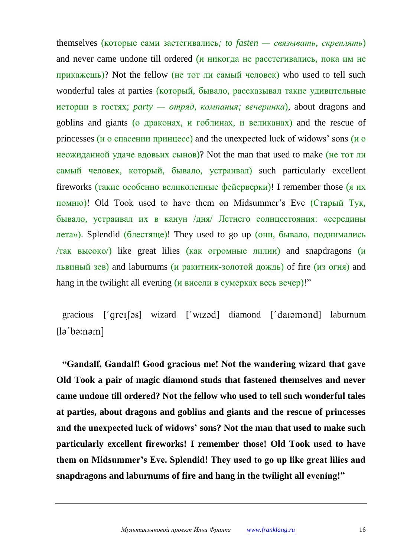themselves (которые сами застегивались*; to fasten — связывать, скреплять*) and never came undone till ordered (и никогда не расстегивались, пока им не прикажешь)? Not the fellow (не тот ли самый человек) who used to tell such wonderful tales at parties (который, бывало, рассказывал такие удивительные истории в гостях; *party — отряд, компания; вечеринка*), about dragons and goblins and giants (о драконах, и гоблинах, и великанах) and the rescue of princesses (и о спасении принцесс) and the unexpected luck of widows' sons (и о неожиданной удаче вдовьих сынов)? Not the man that used to make (не тот ли самый человек, который, бывало, устраивал) such particularly excellent fireworks (такие особенно великолепные фейерверки)! I remember those (я их помню)! Old Took used to have them on Midsummer's Eve (Старый Тук, бывало, устраивал их в канун /дня/ Летнего солнцестояния: «середины лета»). Splendid (блестяще)! They used to go up (они, бывало, поднимались  $\pi$ ак высоко) like great lilies (как огромные лилии) and snapdragons (и львиный зев) and laburnums (и ракитник-золотой дождь) of fire (из огня) and hang in the twilight all evening (*и висели в сумерках весь вечер*)!"

gracious ['qrei [as] wizard ['wizad] diamond ['daiamand] laburnum  $[la'$ bə:nəm $]$ 

**"Gandalf, Gandalf! Good gracious me! Not the wandering wizard that gave Old Took a pair of magic diamond studs that fastened themselves and never came undone till ordered? Not the fellow who used to tell such wonderful tales at parties, about dragons and goblins and giants and the rescue of princesses and the unexpected luck of widows' sons? Not the man that used to make such particularly excellent fireworks! I remember those! Old Took used to have them on Midsummer's Eve. Splendid! They used to go up like great lilies and snapdragons and laburnums of fire and hang in the twilight all evening!"**